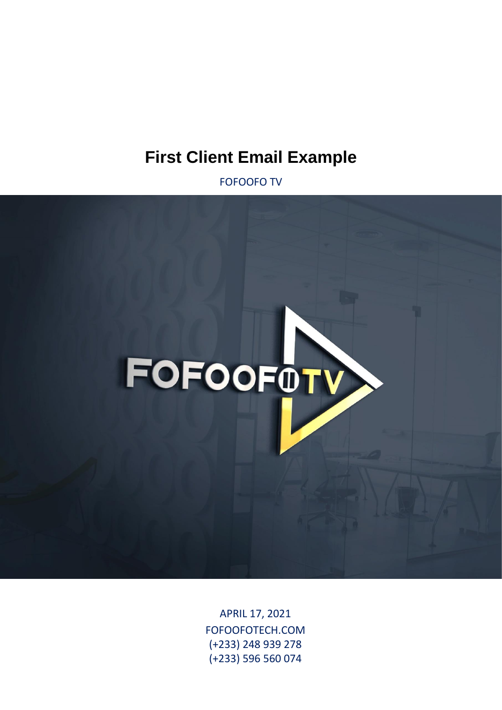# **First Client Email Example**

FOFOOFO TV



APRIL 17, 2021 FOFOOFOTECH.COM (+233) 248 939 278 (+233) 596 560 074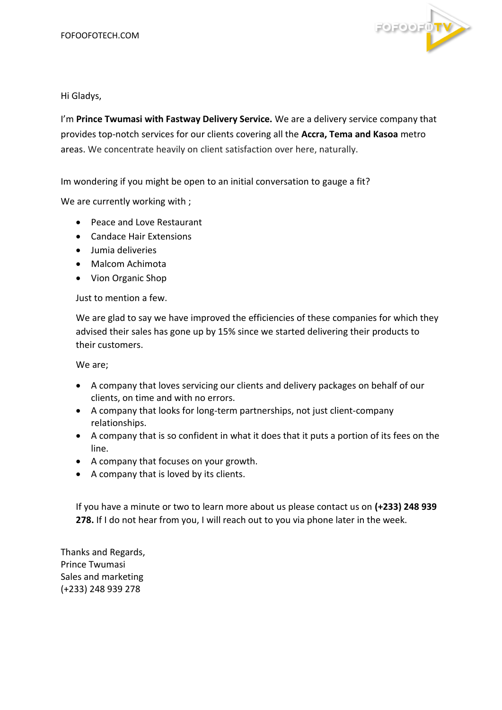

Hi Gladys,

I'm **Prince Twumasi with Fastway Delivery Service.** We are a delivery service company that provides top-notch services for our clients covering all the **Accra, Tema and Kasoa** metro areas. We concentrate heavily on client satisfaction over here, naturally.

Im wondering if you might be open to an initial conversation to gauge a fit?

We are currently working with ;

- Peace and Love Restaurant
- Candace Hair Extensions
- Jumia deliveries
- Malcom Achimota
- Vion Organic Shop

Just to mention a few.

We are glad to say we have improved the efficiencies of these companies for which they advised their sales has gone up by 15% since we started delivering their products to their customers.

We are;

- A company that loves servicing our clients and delivery packages on behalf of our clients, on time and with no errors.
- A company that looks for long-term partnerships, not just client-company relationships.
- A company that is so confident in what it does that it puts a portion of its fees on the line.
- A company that focuses on your growth.
- A company that is loved by its clients.

If you have a minute or two to learn more about us please contact us on **(+233) 248 939 278.** If I do not hear from you, I will reach out to you via phone later in the week.

Thanks and Regards, Prince Twumasi Sales and marketing (+233) 248 939 278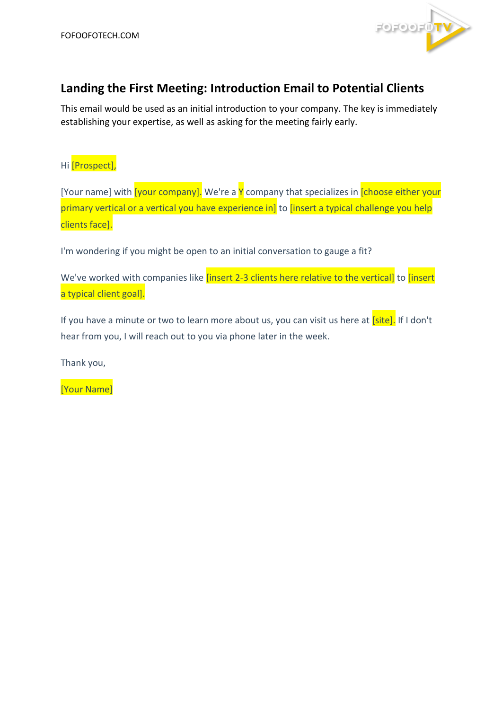

## **Landing the First Meeting: Introduction Email to Potential Clients**

This email would be used as an initial introduction to your company. The key is immediately establishing your expertise, as well as asking for the meeting fairly early.

### Hi *[Prospect]*,

[Your name] with [your company]. We're a Y company that specializes in [choose either your primary vertical or a vertical you have experience in] to [insert a typical challenge you help clients face].

I'm wondering if you might be open to an initial conversation to gauge a fit?

We've worked with companies like *[insert 2-3 clients here relative to the vertical]* to *[insert* a typical client goal].

If you have a minute or two to learn more about us, you can visit us here at [site]. If I don't hear from you, I will reach out to you via phone later in the week.

Thank you,

[Your Name]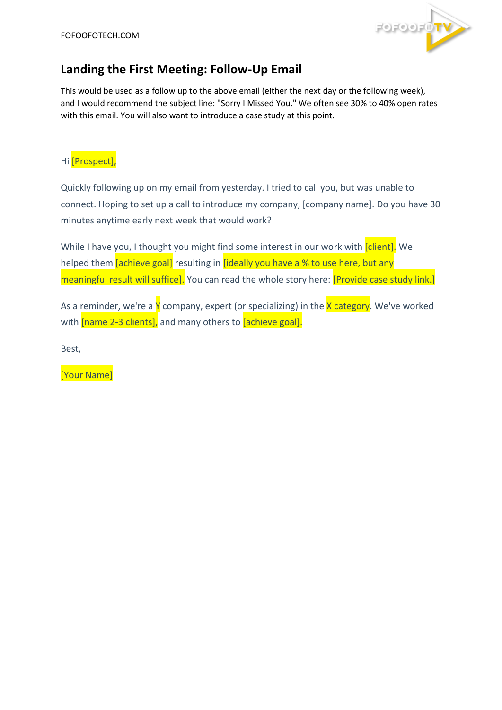

## **Landing the First Meeting: Follow-Up Email**

This would be used as a follow up to the above email (either the next day or the following week), and I would recommend the subject line: "Sorry I Missed You." We often see 30% to 40% open rates with this email. You will also want to introduce a case study at this point.

#### Hi [Prospect],

Quickly following up on my email from yesterday. I tried to call you, but was unable to connect. Hoping to set up a call to introduce my company, [company name]. Do you have 30 minutes anytime early next week that would work?

While I have you, I thought you might find some interest in our work with [client]. We helped them *[achieve goal]* resulting in *[ideally you have a % to use here, but any* meaningful result will suffice]. You can read the whole story here: **[Provide case study link.**]

As a reminder, we're a  $Y$  company, expert (or specializing) in the  $X$  category. We've worked with [name 2-3 clients], and many others to [achieve goal].

Best,

[Your Name]